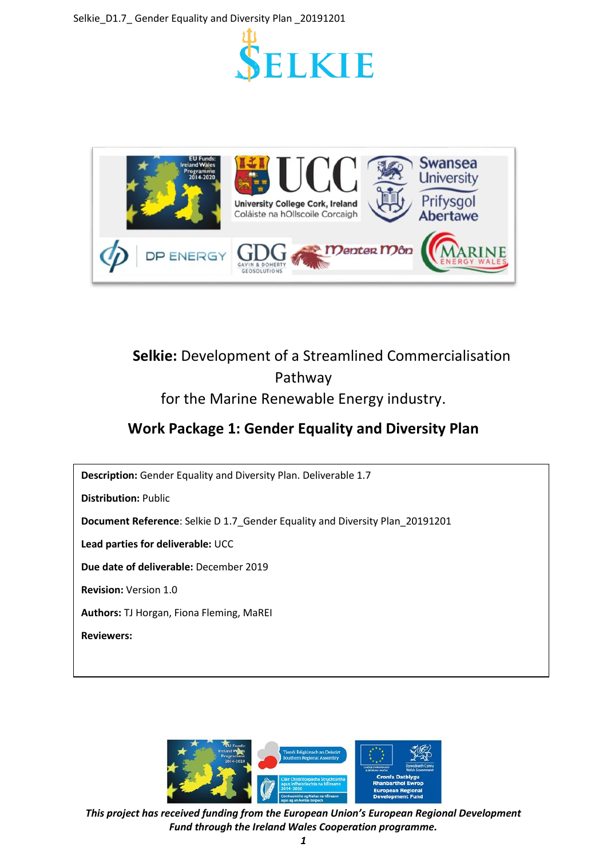



# **Selkie:** Development of a Streamlined Commercialisation Pathway for the Marine Renewable Energy industry.

# **Work Package 1: Gender Equality and Diversity Plan**



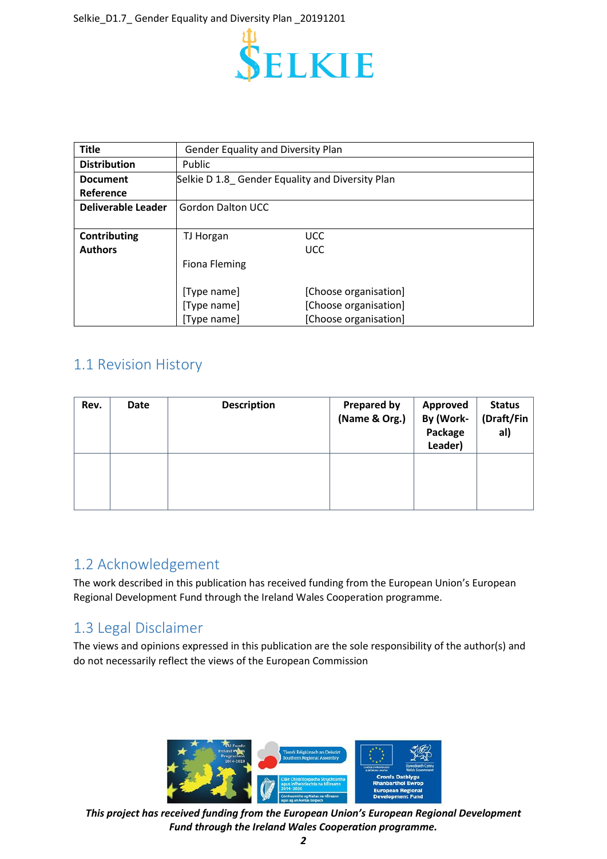

| <b>Title</b>              | <b>Gender Equality and Diversity Plan</b>       |                       |
|---------------------------|-------------------------------------------------|-----------------------|
| <b>Distribution</b>       | Public                                          |                       |
| <b>Document</b>           | Selkie D 1.8 Gender Equality and Diversity Plan |                       |
| Reference                 |                                                 |                       |
| <b>Deliverable Leader</b> | <b>Gordon Dalton UCC</b>                        |                       |
|                           |                                                 |                       |
| Contributing              | TJ Horgan                                       | <b>UCC</b>            |
| <b>Authors</b>            |                                                 | <b>UCC</b>            |
|                           | Fiona Fleming                                   |                       |
|                           |                                                 |                       |
|                           | [Type name]                                     | [Choose organisation] |
|                           | [Type name]                                     | [Choose organisation] |
|                           | [Type name]                                     | [Choose organisation] |

## <span id="page-1-0"></span>1.1 Revision History

| Rev. | Date | <b>Description</b> | <b>Prepared by</b><br>(Name & Org.) | <b>Approved</b><br>By (Work-<br>Package<br>Leader) | <b>Status</b><br>(Draft/Fin<br>al) |
|------|------|--------------------|-------------------------------------|----------------------------------------------------|------------------------------------|
|      |      |                    |                                     |                                                    |                                    |

## <span id="page-1-1"></span>1.2 Acknowledgement

The work described in this publication has received funding from the European Union's European Regional Development Fund through the Ireland Wales Cooperation programme.

## <span id="page-1-2"></span>1.3 Legal Disclaimer

The views and opinions expressed in this publication are the sole responsibility of the author(s) and do not necessarily reflect the views of the European Commission

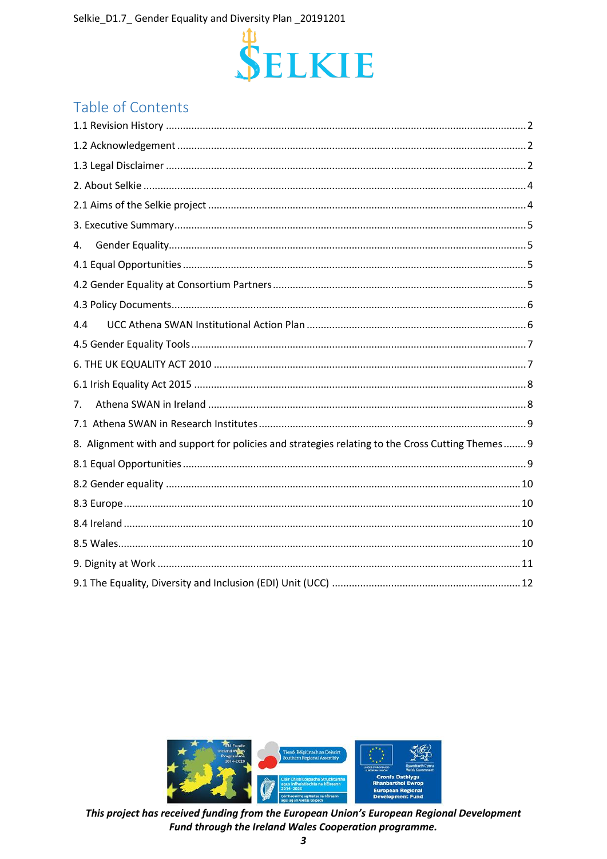

# Table of Contents

| 4.                                                                                               |  |
|--------------------------------------------------------------------------------------------------|--|
|                                                                                                  |  |
|                                                                                                  |  |
|                                                                                                  |  |
| 4.4                                                                                              |  |
|                                                                                                  |  |
|                                                                                                  |  |
|                                                                                                  |  |
| 7.                                                                                               |  |
|                                                                                                  |  |
| 8. Alignment with and support for policies and strategies relating to the Cross Cutting Themes 9 |  |
|                                                                                                  |  |
|                                                                                                  |  |
|                                                                                                  |  |
|                                                                                                  |  |
|                                                                                                  |  |
|                                                                                                  |  |
|                                                                                                  |  |
|                                                                                                  |  |

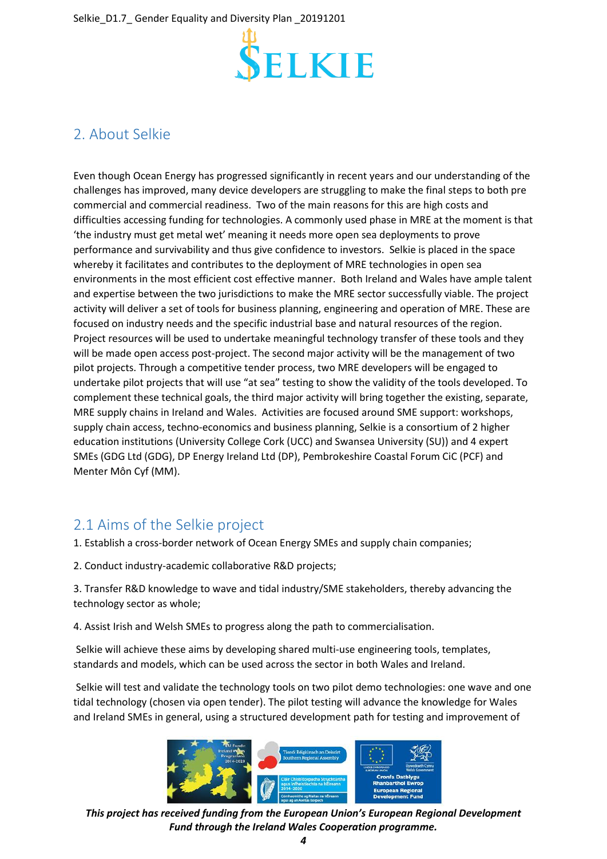

# <span id="page-3-0"></span>2. About Selkie

Even though Ocean Energy has progressed significantly in recent years and our understanding of the challenges has improved, many device developers are struggling to make the final steps to both pre commercial and commercial readiness. Two of the main reasons for this are high costs and difficulties accessing funding for technologies. A commonly used phase in MRE at the moment is that 'the industry must get metal wet' meaning it needs more open sea deployments to prove performance and survivability and thus give confidence to investors. Selkie is placed in the space whereby it facilitates and contributes to the deployment of MRE technologies in open sea environments in the most efficient cost effective manner. Both Ireland and Wales have ample talent and expertise between the two jurisdictions to make the MRE sector successfully viable. The project activity will deliver a set of tools for business planning, engineering and operation of MRE. These are focused on industry needs and the specific industrial base and natural resources of the region. Project resources will be used to undertake meaningful technology transfer of these tools and they will be made open access post-project. The second major activity will be the management of two pilot projects. Through a competitive tender process, two MRE developers will be engaged to undertake pilot projects that will use "at sea" testing to show the validity of the tools developed. To complement these technical goals, the third major activity will bring together the existing, separate, MRE supply chains in Ireland and Wales. Activities are focused around SME support: workshops, supply chain access, techno-economics and business planning, Selkie is a consortium of 2 higher education institutions (University College Cork (UCC) and Swansea University (SU)) and 4 expert SMEs (GDG Ltd (GDG), DP Energy Ireland Ltd (DP), Pembrokeshire Coastal Forum CiC (PCF) and Menter Môn Cyf (MM).

# <span id="page-3-1"></span>2.1 Aims of the Selkie project

- 1. Establish a cross-border network of Ocean Energy SMEs and supply chain companies;
- 2. Conduct industry-academic collaborative R&D projects;

3. Transfer R&D knowledge to wave and tidal industry/SME stakeholders, thereby advancing the technology sector as whole;

4. Assist Irish and Welsh SMEs to progress along the path to commercialisation.

Selkie will achieve these aims by developing shared multi-use engineering tools, templates, standards and models, which can be used across the sector in both Wales and Ireland.

Selkie will test and validate the technology tools on two pilot demo technologies: one wave and one tidal technology (chosen via open tender). The pilot testing will advance the knowledge for Wales and Ireland SMEs in general, using a structured development path for testing and improvement of



*This project has received funding from the European Union's European Regional Development Fund through the Ireland Wales Cooperation programme.*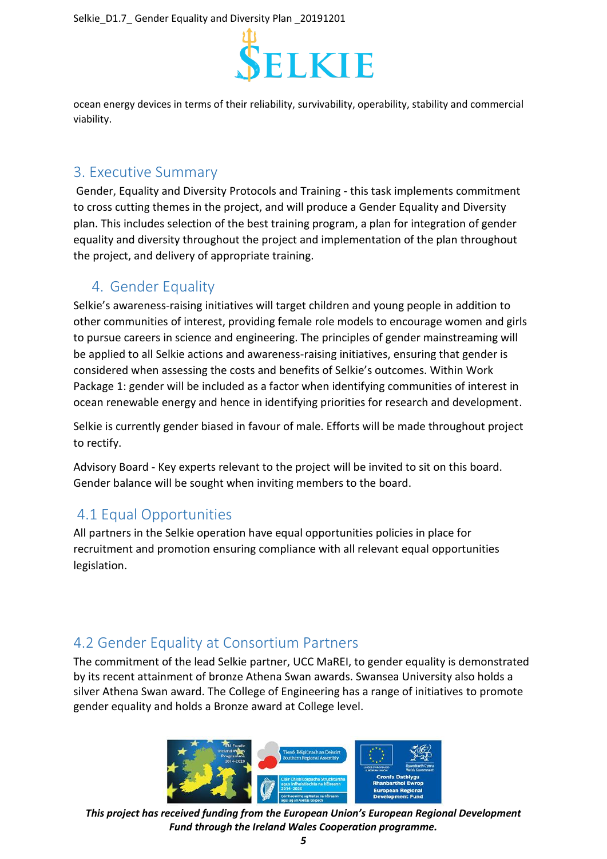

ocean energy devices in terms of their reliability, survivability, operability, stability and commercial viability.

### <span id="page-4-0"></span>3. Executive Summary

Gender, Equality and Diversity Protocols and Training - this task implements commitment to cross cutting themes in the project, and will produce a Gender Equality and Diversity plan. This includes selection of the best training program, a plan for integration of gender equality and diversity throughout the project and implementation of the plan throughout the project, and delivery of appropriate training.

## <span id="page-4-1"></span>4. Gender Equality

Selkie's awareness-raising initiatives will target children and young people in addition to other communities of interest, providing female role models to encourage women and girls to pursue careers in science and engineering. The principles of gender mainstreaming will be applied to all Selkie actions and awareness-raising initiatives, ensuring that gender is considered when assessing the costs and benefits of Selkie's outcomes. Within Work Package 1: gender will be included as a factor when identifying communities of interest in ocean renewable energy and hence in identifying priorities for research and development.

Selkie is currently gender biased in favour of male. Efforts will be made throughout project to rectify.

Advisory Board - Key experts relevant to the project will be invited to sit on this board. Gender balance will be sought when inviting members to the board.

# <span id="page-4-2"></span>4.1 Equal Opportunities

All partners in the Selkie operation have equal opportunities policies in place for recruitment and promotion ensuring compliance with all relevant equal opportunities legislation.

# <span id="page-4-3"></span>4.2 Gender Equality at Consortium Partners

The commitment of the lead Selkie partner, UCC MaREI, to gender equality is demonstrated by its recent attainment of bronze Athena Swan awards. Swansea University also holds a silver Athena Swan award. The College of Engineering has a range of initiatives to promote gender equality and holds a Bronze award at College level.



*This project has received funding from the European Union's European Regional Development Fund through the Ireland Wales Cooperation programme.*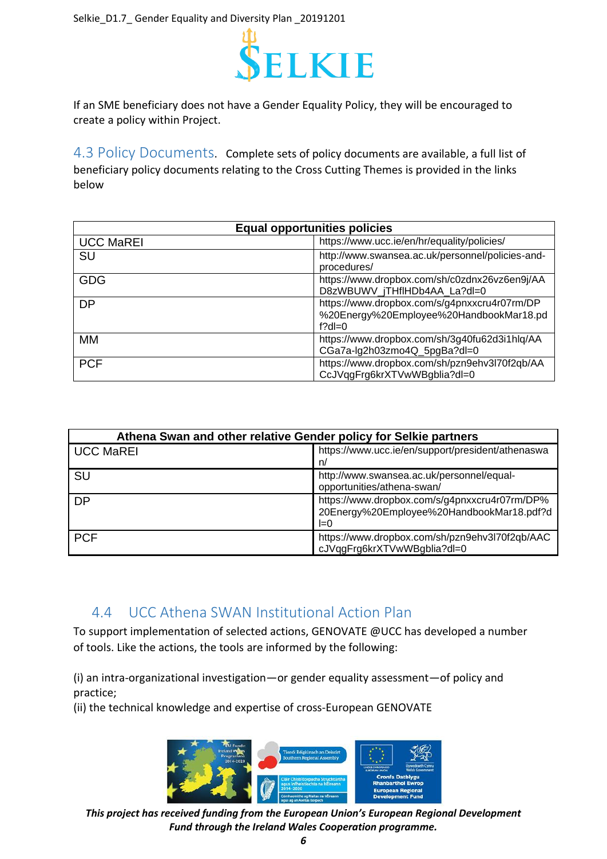

If an SME beneficiary does not have a Gender Equality Policy, they will be encouraged to create a policy within Project.

<span id="page-5-0"></span>4.3 Policy Documents. Complete sets of policy documents are available, a full list of beneficiary policy documents relating to the Cross Cutting Themes is provided in the links below

| <b>Equal opportunities policies</b> |                                                                                                      |  |  |
|-------------------------------------|------------------------------------------------------------------------------------------------------|--|--|
| <b>UCC MaREI</b>                    | https://www.ucc.ie/en/hr/equality/policies/                                                          |  |  |
| <b>SU</b>                           | http://www.swansea.ac.uk/personnel/policies-and-<br>procedures/                                      |  |  |
| <b>GDG</b>                          | https://www.dropbox.com/sh/c0zdnx26vz6en9j/AA<br>D8zWBUWV_jTHfIHDb4AA_La?dl=0                        |  |  |
| <b>DP</b>                           | https://www.dropbox.com/s/g4pnxxcru4r07rm/DP<br>%20Energy%20Employee%20HandbookMar18.pd<br>f?dl= $0$ |  |  |
| MМ                                  | https://www.dropbox.com/sh/3g40fu62d3i1hlq/AA<br>CGa7a-lg2h03zmo4Q_5pgBa?dl=0                        |  |  |
| <b>PCF</b>                          | https://www.dropbox.com/sh/pzn9ehv3l70f2qb/AA<br>CcJVqqFrq6krXTVwWBqblia?dl=0                        |  |  |

| Athena Swan and other relative Gender policy for Selkie partners |                                                                                                     |  |  |  |
|------------------------------------------------------------------|-----------------------------------------------------------------------------------------------------|--|--|--|
| <b>UCC MaREI</b>                                                 | https://www.ucc.ie/en/support/president/athenaswa<br>n/                                             |  |  |  |
| <b>SU</b>                                                        | http://www.swansea.ac.uk/personnel/equal-<br>opportunities/athena-swan/                             |  |  |  |
| <b>DP</b>                                                        | https://www.dropbox.com/s/g4pnxxcru4r07rm/DP%<br>20Energy%20Employee%20HandbookMar18.pdf?d<br>$I=0$ |  |  |  |
| <b>PCF</b>                                                       | https://www.dropbox.com/sh/pzn9ehv3l70f2qb/AAC<br>cJVqgFrg6krXTVwWBgblia?dl=0                       |  |  |  |

### <span id="page-5-1"></span>4.4 UCC Athena SWAN Institutional Action Plan

To support implementation of selected actions, GENOVATE @UCC has developed a number of tools. Like the actions, the tools are informed by the following:

(i) an intra-organizational investigation—or gender equality assessment—of policy and practice;

(ii) the technical knowledge and expertise of cross-European GENOVATE

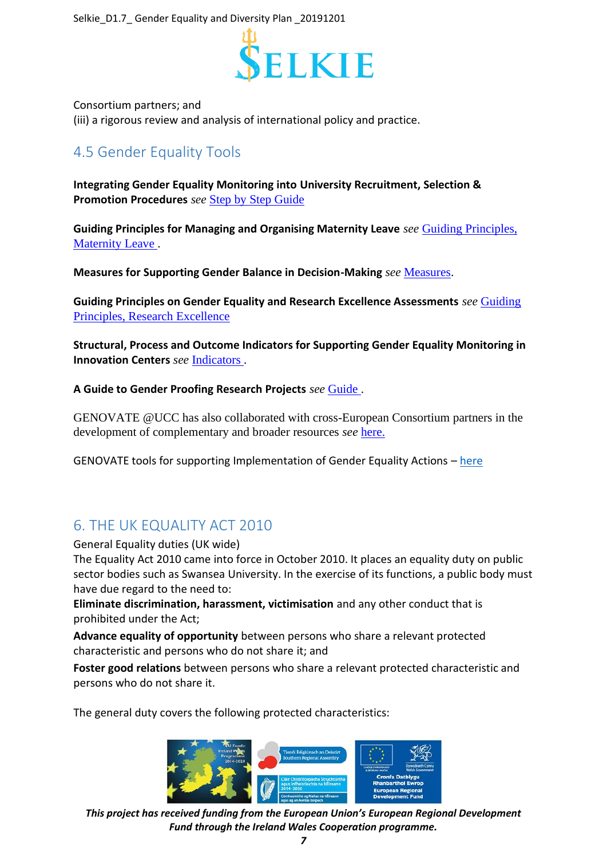

Consortium partners; and

(iii) a rigorous review and analysis of international policy and practice.

# <span id="page-6-0"></span>4.5 Gender Equality Tools

**Integrating Gender Equality Monitoring into University Recruitment, Selection & Promotion Procedures** *see* [Step by Step Guide](https://www.ucc.ie/en/media/research/iss21/Tool.Action3.MonitoringRecruitmentetc..pdf)

**Guiding Principles for Managing and Organising Maternity Leave** *see* [Guiding Principles,](https://www.ucc.ie/en/media/research/iss21/Tool.Action5.GuidingPrinciplesMatLeave.Oct16..pdf)  [Maternity Leave .](https://www.ucc.ie/en/media/research/iss21/Tool.Action5.GuidingPrinciplesMatLeave.Oct16..pdf)

**Measures for Supporting Gender Balance in Decision-Making** *see* [Measures.](https://www.ucc.ie/en/media/research/iss21/Tool.Action6.GBDecisionmaking..pdf)

**Guiding Principles on Gender Equality and Research Excellence Assessments** *see* [Guiding](https://www.ucc.ie/en/media/research/iss21/Tool.Action7.GuidingPrinciplesReschExcellence...pdf)  [Principles, Research Excellence](https://www.ucc.ie/en/media/research/iss21/Tool.Action7.GuidingPrinciplesReschExcellence...pdf) 

**Structural, Process and Outcome Indicators for Supporting Gender Equality Monitoring in Innovation Centers** *see* [Indicators .](https://www.ucc.ie/en/media/research/iss21/Tool.Action8.GenderEqualityIndicators..pdf)

**A Guide to Gender Proofing Research Projects** *see* [Guide .](https://www.ucc.ie/en/media/research/iss21/GuidetoGenderProofing.pdf)

GENOVATE @UCC has also collaborated with cross-European Consortium partners in the development of complementary and broader resources *see* [here.](http://www.genovate.eu/project/deliverables/) 

GENOVATE tools for supporting Implementation of Gender Equality Actions  $-\text{here}$  $-\text{here}$  $-\text{here}$ 

# <span id="page-6-1"></span>6. THE UK EQUALITY ACT 2010

General Equality duties (UK wide)

The Equality Act 2010 came into force in October 2010. It places an equality duty on public sector bodies such as Swansea University. In the exercise of its functions, a public body must have due regard to the need to:

**Eliminate discrimination, harassment, victimisation** and any other conduct that is prohibited under the Act;

**Advance equality of opportunity** between persons who share a relevant protected characteristic and persons who do not share it; and

**Foster good relations** between persons who share a relevant protected characteristic and persons who do not share it.

The general duty covers the following protected characteristics:

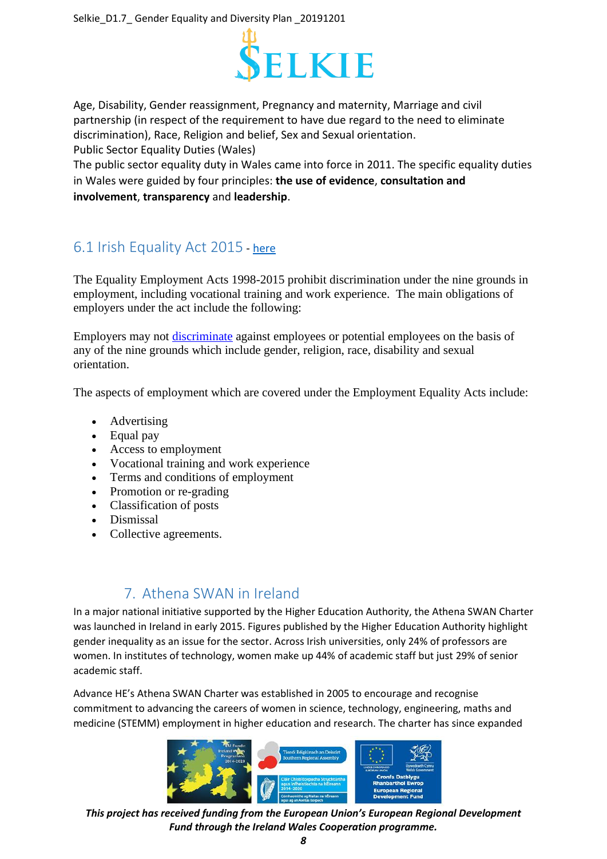

Age, Disability, Gender reassignment, Pregnancy and maternity, Marriage and civil partnership (in respect of the requirement to have due regard to the need to eliminate discrimination), Race, Religion and belief, Sex and Sexual orientation. Public Sector Equality Duties (Wales)

The public sector equality duty in Wales came into force in 2011. The specific equality duties in Wales were guided by four principles: **the use of evidence**, **consultation and involvement**, **transparency** and **leadership**.

# <span id="page-7-0"></span>6.1 Irish Equality Act 2015 - [here](https://www.ihrec.ie/guides-and-tools/human-rights-and-equality-for-employers/what-does-the-law-say/eea-summary/)

The Equality Employment Acts 1998-2015 prohibit discrimination under the nine grounds in employment, including vocational training and work experience. The main obligations of employers under the act include the following:

Employers may not [discriminate](http://www.ihrec.ie/guides-and-tools/human-rights-and-equality-for-employers/what-does-the-law-say/discrimination-under-the-employment-equality-acts/) against employees or potential employees on the basis of any of the nine grounds which include gender, religion, race, disability and sexual orientation.

The aspects of employment which are covered under the Employment Equality Acts include:

- Advertising
- Equal pay
- Access to employment
- Vocational training and work experience
- Terms and conditions of employment
- Promotion or re-grading
- Classification of posts
- Dismissal
- Collective agreements.

## 7. Athena SWAN in Ireland

<span id="page-7-1"></span>In a major national initiative supported by the Higher Education Authority, the Athena SWAN Charter was launched in Ireland in early 2015. Figures published by the Higher Education Authority highlight gender inequality as an issue for the sector. Across Irish universities, only 24% of professors are women. In institutes of technology, women make up 44% of academic staff but just 29% of senior academic staff.

Advance HE's Athena SWAN Charter was established in 2005 to encourage and recognise commitment to advancing the careers of women in science, technology, engineering, maths and medicine (STEMM) employment in higher education and research. The charter has since expanded

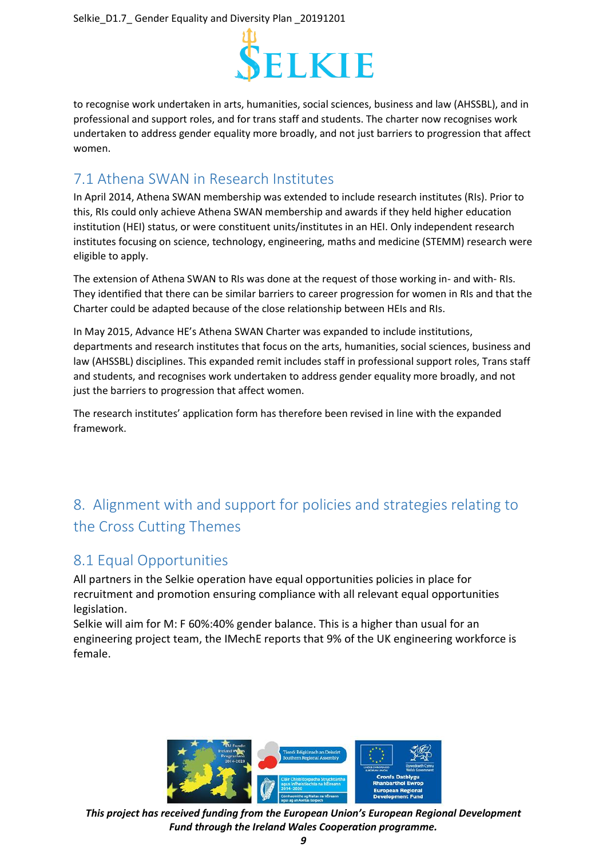

to recognise work undertaken in arts, humanities, social sciences, business and law (AHSSBL), and in professional and support roles, and for trans staff and students. The charter now recognises work undertaken to address gender equality more broadly, and not just barriers to progression that affect women.

## <span id="page-8-0"></span>7.1 Athena SWAN in Research Institutes

In April 2014, Athena SWAN membership was extended to include research institutes (RIs). Prior to this, RIs could only achieve Athena SWAN membership and awards if they held higher education institution (HEI) status, or were constituent units/institutes in an HEI. Only independent research institutes focusing on science, technology, engineering, maths and medicine (STEMM) research were eligible to apply.

The extension of Athena SWAN to RIs was done at the request of those working in- and with- RIs. They identified that there can be similar barriers to career progression for women in RIs and that the Charter could be adapted because of the close relationship between HEIs and RIs.

In May 2015, Advance HE's Athena SWAN Charter was expanded to include institutions, departments and research institutes that focus on the arts, humanities, social sciences, business and law (AHSSBL) disciplines. This expanded remit includes staff in professional support roles, Trans staff and students, and recognises work undertaken to address gender equality more broadly, and not just the barriers to progression that affect women.

The research institutes' application form has therefore been revised in line with the expanded framework.

# <span id="page-8-1"></span>8. Alignment with and support for policies and strategies relating to the Cross Cutting Themes

### <span id="page-8-2"></span>8.1 Equal Opportunities

All partners in the Selkie operation have equal opportunities policies in place for recruitment and promotion ensuring compliance with all relevant equal opportunities legislation.

Selkie will aim for M: F 60%:40% gender balance. This is a higher than usual for an engineering project team, the IMechE reports that 9% of the UK engineering workforce is female.



*This project has received funding from the European Union's European Regional Development Fund through the Ireland Wales Cooperation programme.*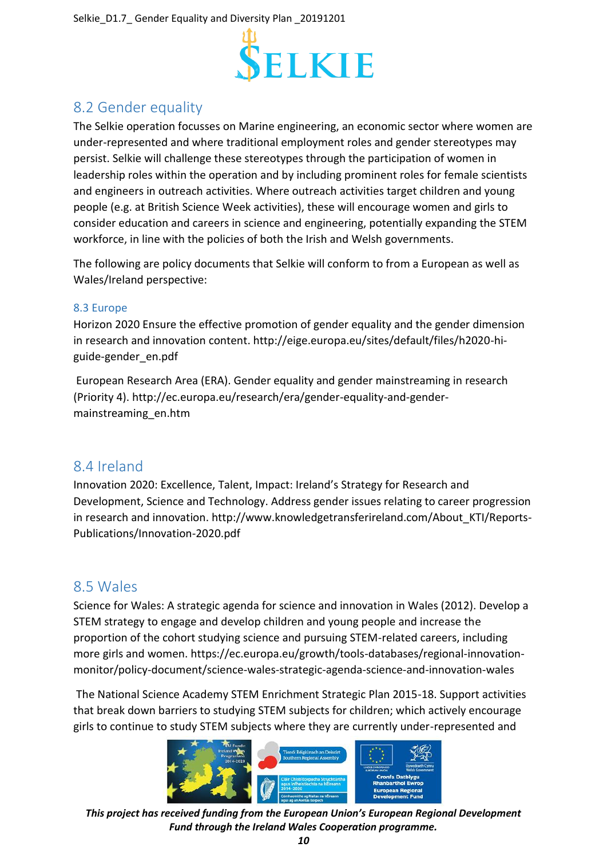

# <span id="page-9-0"></span>8.2 Gender equality

The Selkie operation focusses on Marine engineering, an economic sector where women are under-represented and where traditional employment roles and gender stereotypes may persist. Selkie will challenge these stereotypes through the participation of women in leadership roles within the operation and by including prominent roles for female scientists and engineers in outreach activities. Where outreach activities target children and young people (e.g. at British Science Week activities), these will encourage women and girls to consider education and careers in science and engineering, potentially expanding the STEM workforce, in line with the policies of both the Irish and Welsh governments.

The following are policy documents that Selkie will conform to from a European as well as Wales/Ireland perspective:

#### <span id="page-9-1"></span>8.3 Europe

Horizon 2020 Ensure the effective promotion of gender equality and the gender dimension in research and innovation content. http://eige.europa.eu/sites/default/files/h2020-higuide-gender\_en.pdf

European Research Area (ERA). Gender equality and gender mainstreaming in research (Priority 4). http://ec.europa.eu/research/era/gender-equality-and-gendermainstreaming\_en.htm

#### <span id="page-9-2"></span>8.4 Ireland

Innovation 2020: Excellence, Talent, Impact: Ireland's Strategy for Research and Development, Science and Technology. Address gender issues relating to career progression in research and innovation. http://www.knowledgetransferireland.com/About\_KTI/Reports-Publications/Innovation-2020.pdf

### <span id="page-9-3"></span>8.5 Wales

Science for Wales: A strategic agenda for science and innovation in Wales (2012). Develop a STEM strategy to engage and develop children and young people and increase the proportion of the cohort studying science and pursuing STEM-related careers, including more girls and women. https://ec.europa.eu/growth/tools-databases/regional-innovationmonitor/policy-document/science-wales-strategic-agenda-science-and-innovation-wales

The National Science Academy STEM Enrichment Strategic Plan 2015-18. Support activities that break down barriers to studying STEM subjects for children; which actively encourage girls to continue to study STEM subjects where they are currently under-represented and

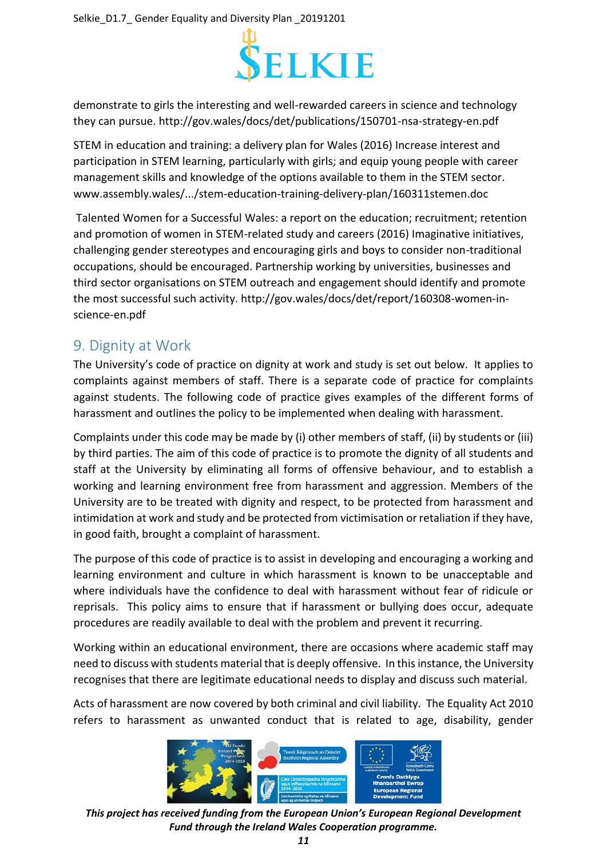

demonstrate to girls the interesting and well-rewarded careers in science and technology they can pursue. http://gov.wales/docs/det/publications/150701-nsa-strategy-en.pdf

STEM in education and training: a delivery plan for Wales (2016) Increase interest and participation in STEM learning, particularly with girls; and equip young people with career management skills and knowledge of the options available to them in the STEM sector. www.assembly.wales/.../stem-education-training-delivery-plan/160311stemen.doc

Talented Women for a Successful Wales: a report on the education; recruitment; retention and promotion of women in STEM-related study and careers (2016) Imaginative initiatives, challenging gender stereotypes and encouraging girls and boys to consider non-traditional occupations, should be encouraged. Partnership working by universities, businesses and third sector organisations on STEM outreach and engagement should identify and promote the most successful such activity. http://gov.wales/docs/det/report/160308-women-inscience-en.pdf

## <span id="page-10-0"></span>9. Dignity at Work

The University's code of practice on dignity at work and study is set out below. It applies to complaints against members of staff. There is a separate code of practice for complaints against students. The following code of practice gives examples of the different forms of harassment and outlines the policy to be implemented when dealing with harassment.

Complaints under this code may be made by (i) other members of staff, (ii) by students or (iii) by third parties. The aim of this code of practice is to promote the dignity of all students and staff at the University by eliminating all forms of offensive behaviour, and to establish a working and learning environment free from harassment and aggression. Members of the University are to be treated with dignity and respect, to be protected from harassment and intimidation at work and study and be protected from victimisation or retaliation if they have, in good faith, brought a complaint of harassment.

The purpose of this code of practice is to assist in developing and encouraging a working and learning environment and culture in which harassment is known to be unacceptable and where individuals have the confidence to deal with harassment without fear of ridicule or reprisals. This policy aims to ensure that if harassment or bullying does occur, adequate procedures are readily available to deal with the problem and prevent it recurring.

Working within an educational environment, there are occasions where academic staff may need to discuss with students material that is deeply offensive. In this instance, the University recognises that there are legitimate educational needs to display and discuss such material.

Acts of harassment are now covered by both criminal and civil liability. The Equality Act 2010 refers to harassment as unwanted conduct that is related to age, disability, gender



*This project has received funding from the European Union's European Regional Development Fund through the Ireland Wales Cooperation programme.*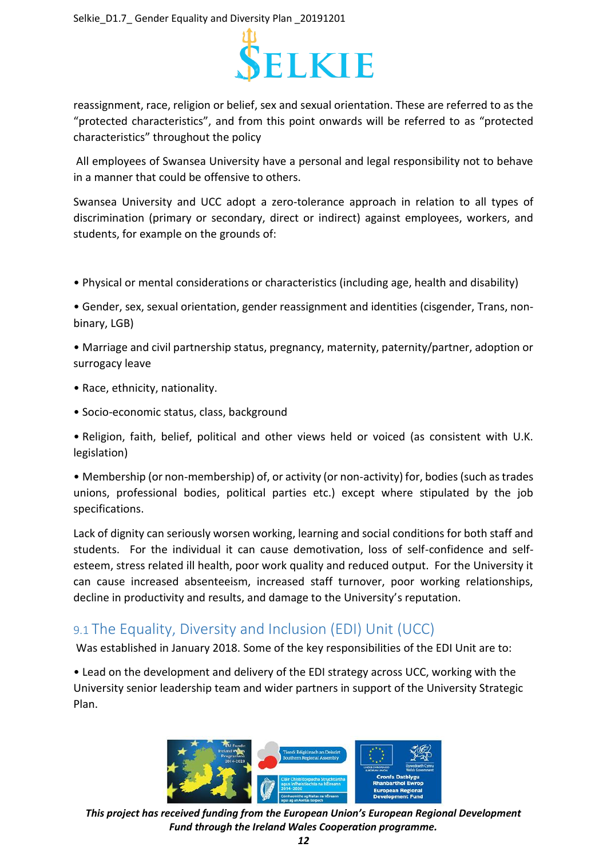

reassignment, race, religion or belief, sex and sexual orientation. These are referred to as the "protected characteristics", and from this point onwards will be referred to as "protected characteristics" throughout the policy

All employees of Swansea University have a personal and legal responsibility not to behave in a manner that could be offensive to others.

Swansea University and UCC adopt a zero-tolerance approach in relation to all types of discrimination (primary or secondary, direct or indirect) against employees, workers, and students, for example on the grounds of:

• Physical or mental considerations or characteristics (including age, health and disability)

• Gender, sex, sexual orientation, gender reassignment and identities (cisgender, Trans, nonbinary, LGB)

• Marriage and civil partnership status, pregnancy, maternity, paternity/partner, adoption or surrogacy leave

- Race, ethnicity, nationality.
- Socio-economic status, class, background

• Religion, faith, belief, political and other views held or voiced (as consistent with U.K. legislation)

• Membership (or non-membership) of, or activity (or non-activity) for, bodies (such as trades unions, professional bodies, political parties etc.) except where stipulated by the job specifications.

Lack of dignity can seriously worsen working, learning and social conditions for both staff and students. For the individual it can cause demotivation, loss of self-confidence and selfesteem, stress related ill health, poor work quality and reduced output. For the University it can cause increased absenteeism, increased staff turnover, poor working relationships, decline in productivity and results, and damage to the University's reputation.

## <span id="page-11-0"></span>9.1 The Equality, Diversity and Inclusion (EDI) Unit (UCC)

Was established in January 2018. Some of the key responsibilities of the EDI Unit are to:

• Lead on the development and delivery of the EDI strategy across UCC, working with the University senior leadership team and wider partners in support of the University Strategic Plan.



*This project has received funding from the European Union's European Regional Development Fund through the Ireland Wales Cooperation programme.*